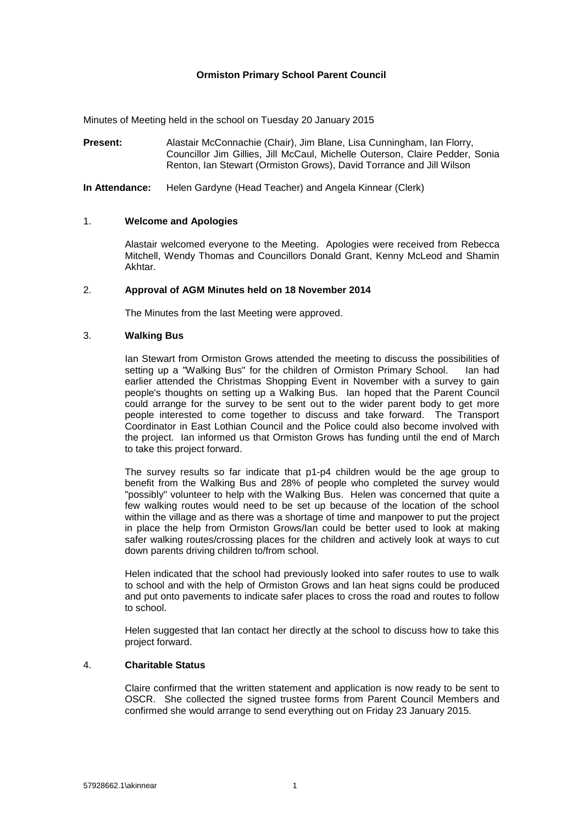## **Ormiston Primary School Parent Council**

Minutes of Meeting held in the school on Tuesday 20 January 2015

**Present:** Alastair McConnachie (Chair), Jim Blane, Lisa Cunningham, Ian Florry, Councillor Jim Gillies, Jill McCaul, Michelle Outerson, Claire Pedder, Sonia Renton, Ian Stewart (Ormiston Grows), David Torrance and Jill Wilson

**In Attendance:** Helen Gardyne (Head Teacher) and Angela Kinnear (Clerk)

### 1. **Welcome and Apologies**

Alastair welcomed everyone to the Meeting. Apologies were received from Rebecca Mitchell, Wendy Thomas and Councillors Donald Grant, Kenny McLeod and Shamin Akhtar.

### 2. **Approval of AGM Minutes held on 18 November 2014**

The Minutes from the last Meeting were approved.

## 3. **Walking Bus**

Ian Stewart from Ormiston Grows attended the meeting to discuss the possibilities of setting up a "Walking Bus" for the children of Ormiston Primary School. Ian had setting up a "Walking Bus" for the children of Ormiston Primary School. earlier attended the Christmas Shopping Event in November with a survey to gain people's thoughts on setting up a Walking Bus. Ian hoped that the Parent Council could arrange for the survey to be sent out to the wider parent body to get more people interested to come together to discuss and take forward. The Transport Coordinator in East Lothian Council and the Police could also become involved with the project. Ian informed us that Ormiston Grows has funding until the end of March to take this project forward.

The survey results so far indicate that p1-p4 children would be the age group to benefit from the Walking Bus and 28% of people who completed the survey would "possibly" volunteer to help with the Walking Bus. Helen was concerned that quite a few walking routes would need to be set up because of the location of the school within the village and as there was a shortage of time and manpower to put the project in place the help from Ormiston Grows/Ian could be better used to look at making safer walking routes/crossing places for the children and actively look at ways to cut down parents driving children to/from school.

Helen indicated that the school had previously looked into safer routes to use to walk to school and with the help of Ormiston Grows and Ian heat signs could be produced and put onto pavements to indicate safer places to cross the road and routes to follow to school.

Helen suggested that Ian contact her directly at the school to discuss how to take this project forward.

### 4. **Charitable Status**

Claire confirmed that the written statement and application is now ready to be sent to OSCR. She collected the signed trustee forms from Parent Council Members and confirmed she would arrange to send everything out on Friday 23 January 2015.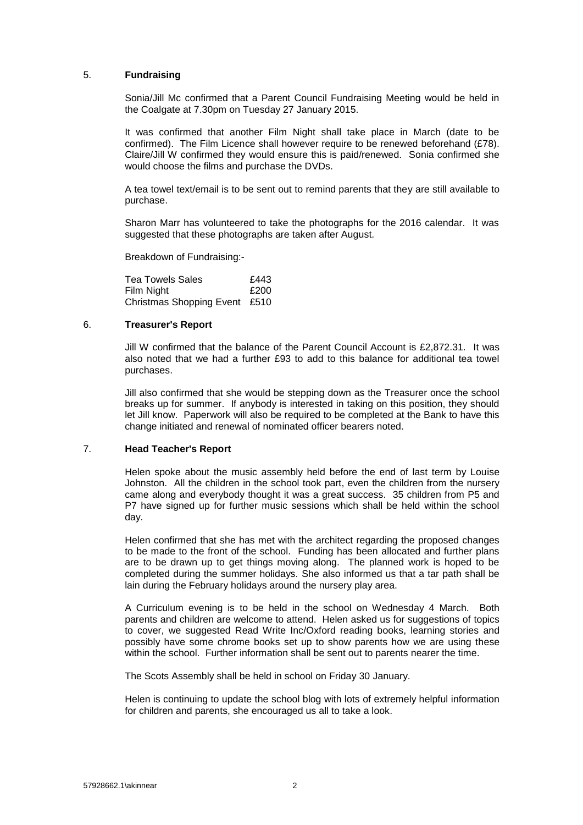### 5. **Fundraising**

Sonia/Jill Mc confirmed that a Parent Council Fundraising Meeting would be held in the Coalgate at 7.30pm on Tuesday 27 January 2015.

It was confirmed that another Film Night shall take place in March (date to be confirmed). The Film Licence shall however require to be renewed beforehand (£78). Claire/Jill W confirmed they would ensure this is paid/renewed. Sonia confirmed she would choose the films and purchase the DVDs.

A tea towel text/email is to be sent out to remind parents that they are still available to purchase.

Sharon Marr has volunteered to take the photographs for the 2016 calendar. It was suggested that these photographs are taken after August.

Breakdown of Fundraising:-

Tea Towels Sales<br>
Film Night<br>
F200 Film Night Christmas Shopping Event £510

### 6. **Treasurer's Report**

Jill W confirmed that the balance of the Parent Council Account is £2,872.31. It was also noted that we had a further £93 to add to this balance for additional tea towel purchases.

Jill also confirmed that she would be stepping down as the Treasurer once the school breaks up for summer. If anybody is interested in taking on this position, they should let Jill know. Paperwork will also be required to be completed at the Bank to have this change initiated and renewal of nominated officer bearers noted.

### 7. **Head Teacher's Report**

Helen spoke about the music assembly held before the end of last term by Louise Johnston. All the children in the school took part, even the children from the nursery came along and everybody thought it was a great success. 35 children from P5 and P7 have signed up for further music sessions which shall be held within the school day.

Helen confirmed that she has met with the architect regarding the proposed changes to be made to the front of the school. Funding has been allocated and further plans are to be drawn up to get things moving along. The planned work is hoped to be completed during the summer holidays. She also informed us that a tar path shall be lain during the February holidays around the nursery play area.

A Curriculum evening is to be held in the school on Wednesday 4 March. Both parents and children are welcome to attend. Helen asked us for suggestions of topics to cover, we suggested Read Write Inc/Oxford reading books, learning stories and possibly have some chrome books set up to show parents how we are using these within the school. Further information shall be sent out to parents nearer the time.

The Scots Assembly shall be held in school on Friday 30 January.

Helen is continuing to update the school blog with lots of extremely helpful information for children and parents, she encouraged us all to take a look.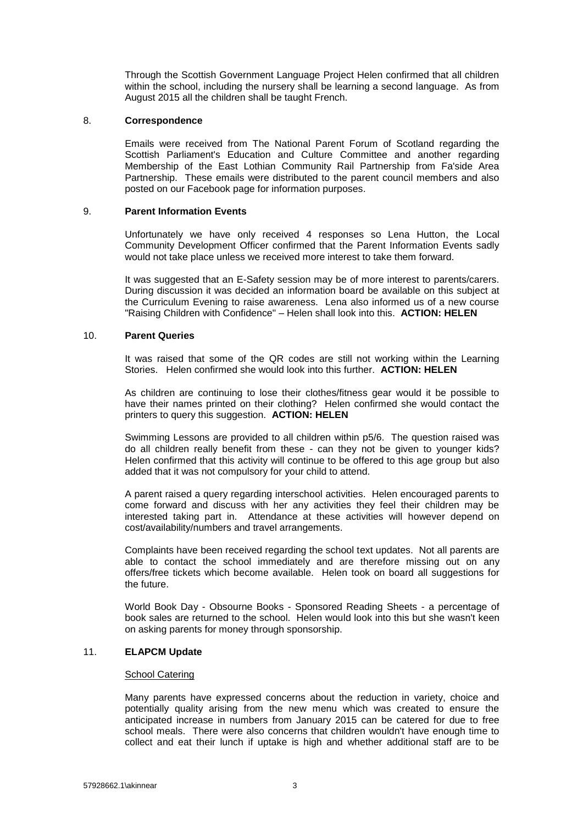Through the Scottish Government Language Project Helen confirmed that all children within the school, including the nursery shall be learning a second language. As from August 2015 all the children shall be taught French.

### 8. **Correspondence**

Emails were received from The National Parent Forum of Scotland regarding the Scottish Parliament's Education and Culture Committee and another regarding Membership of the East Lothian Community Rail Partnership from Fa'side Area Partnership. These emails were distributed to the parent council members and also posted on our Facebook page for information purposes.

#### 9. **Parent Information Events**

Unfortunately we have only received 4 responses so Lena Hutton, the Local Community Development Officer confirmed that the Parent Information Events sadly would not take place unless we received more interest to take them forward.

It was suggested that an E-Safety session may be of more interest to parents/carers. During discussion it was decided an information board be available on this subject at the Curriculum Evening to raise awareness. Lena also informed us of a new course "Raising Children with Confidence" – Helen shall look into this. **ACTION: HELEN**

#### 10. **Parent Queries**

It was raised that some of the QR codes are still not working within the Learning Stories. Helen confirmed she would look into this further. **ACTION: HELEN**

As children are continuing to lose their clothes/fitness gear would it be possible to have their names printed on their clothing? Helen confirmed she would contact the printers to query this suggestion. **ACTION: HELEN**

Swimming Lessons are provided to all children within p5/6. The question raised was do all children really benefit from these - can they not be given to younger kids? Helen confirmed that this activity will continue to be offered to this age group but also added that it was not compulsory for your child to attend.

A parent raised a query regarding interschool activities. Helen encouraged parents to come forward and discuss with her any activities they feel their children may be interested taking part in. Attendance at these activities will however depend on cost/availability/numbers and travel arrangements.

Complaints have been received regarding the school text updates. Not all parents are able to contact the school immediately and are therefore missing out on any offers/free tickets which become available. Helen took on board all suggestions for the future.

World Book Day - Obsourne Books - Sponsored Reading Sheets - a percentage of book sales are returned to the school. Helen would look into this but she wasn't keen on asking parents for money through sponsorship.

### 11. **ELAPCM Update**

#### **School Catering**

Many parents have expressed concerns about the reduction in variety, choice and potentially quality arising from the new menu which was created to ensure the anticipated increase in numbers from January 2015 can be catered for due to free school meals. There were also concerns that children wouldn't have enough time to collect and eat their lunch if uptake is high and whether additional staff are to be